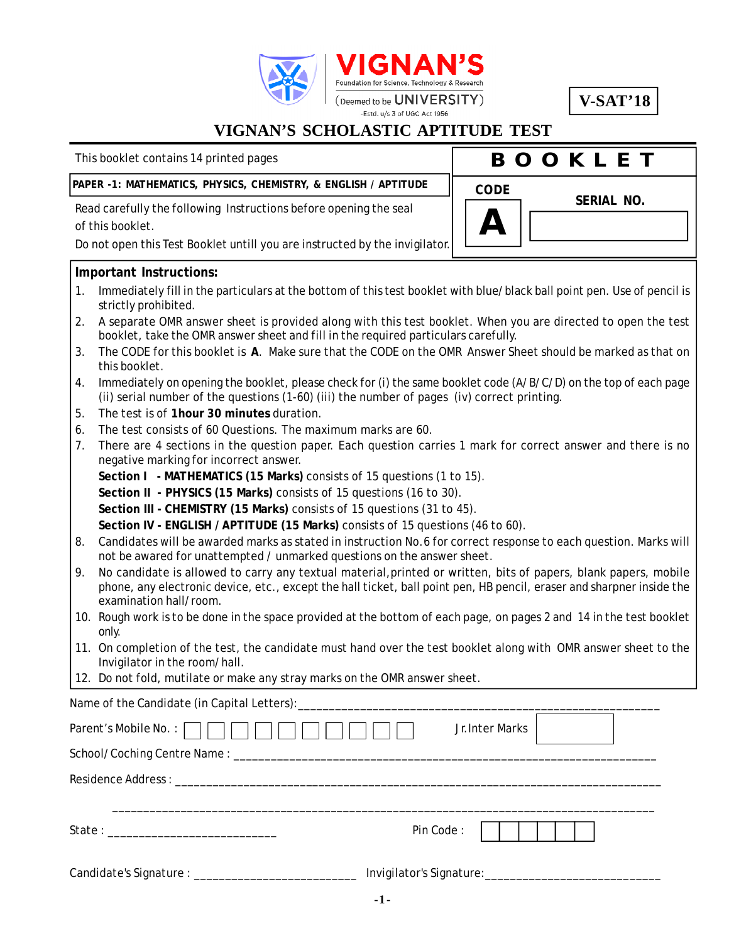

**V-SAT'18**

**SERIAL NO.**

### **VIGNAN'S SCHOLASTIC APTITUDE TEST**

This booklet contains 14 printed pages

# **B O O K L E T**

**A**

**CODE**

#### **PAPER -1: MATHEMATICS, PHYSICS, CHEMISTRY, & ENGLISH / APTITUDE**

Read carefully the following Instructions before opening the seal of this booklet.

Do not open this Test Booklet untill you are instructed by the invigilator.

#### **Important Instructions:**

- 1. Immediately fill in the particulars at the bottom of this test booklet with blue/black ball point pen. Use of pencil is strictly prohibited.
- 2. A separate OMR answer sheet is provided along with this test booklet. When you are directed to open the test booklet, take the OMR answer sheet and fill in the required particulars carefully.
- 3. The CODE for this booklet is **A**. Make sure that the CODE on the OMR Answer Sheet should be marked as that on this booklet.
- 4. Immediately on opening the booklet, please check for (i) the same booklet code (A/B/C/D) on the top of each page (ii) serial number of the questions (1-60) (iii) the number of pages (iv) correct printing.
- 5. The test is of **1hour 30 minutes** duration.
- 6. The test consists of 60 Questions. The maximum marks are 60.
- 7. There are 4 sections in the question paper. Each question carries 1 mark for correct answer and there is no negative marking for incorrect answer.
	- **Section I MATHEMATICS (15 Marks)** consists of 15 questions (1 to 15).

**Section II - PHYSICS (15 Marks)** consists of 15 questions (16 to 30).

**Section III - CHEMISTRY (15 Marks)** consists of 15 questions (31 to 45).

**Section IV - ENGLISH / APTITUDE (15 Marks)** consists of 15 questions (46 to 60).

- 8. Candidates will be awarded marks as stated in instruction No.6 for correct response to each question. Marks will not be awared for unattempted / unmarked questions on the answer sheet.
- 9. No candidate is allowed to carry any textual material,printed or written, bits of papers, blank papers, mobile phone, any electronic device, etc., except the hall ticket, ball point pen, HB pencil, eraser and sharpner inside the examination hall/room.
- 10. Rough work is to be done in the space provided at the bottom of each page, on pages 2 and 14 in the test booklet only.
- 11. On completion of the test, the candidate must hand over the test booklet along with OMR answer sheet to the Invigilator in the room/hall.
- 12. Do not fold, mutilate or make any stray marks on the OMR answer sheet.

| Parent's Mobile No. : $\Box$ $\Box$ $\Box$ $  $ $  $ $  $ $  $ $  $ | Jr. Inter Marks |
|---------------------------------------------------------------------|-----------------|
|                                                                     |                 |
|                                                                     |                 |
|                                                                     |                 |
|                                                                     | Pin Code:       |
|                                                                     |                 |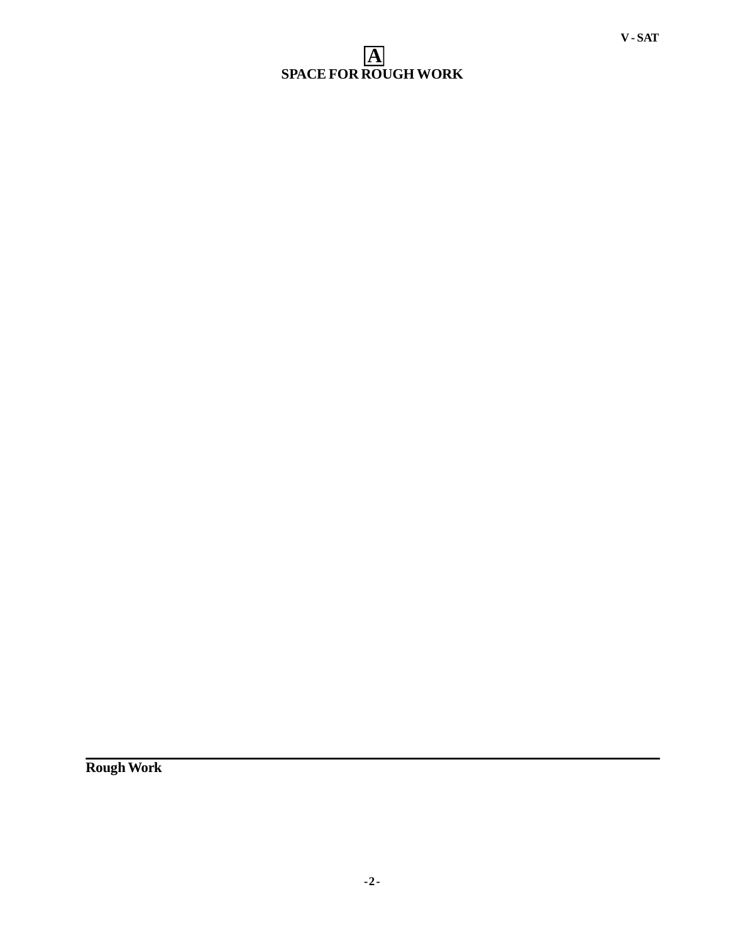### **A SPACE FOR ROUGH WORK**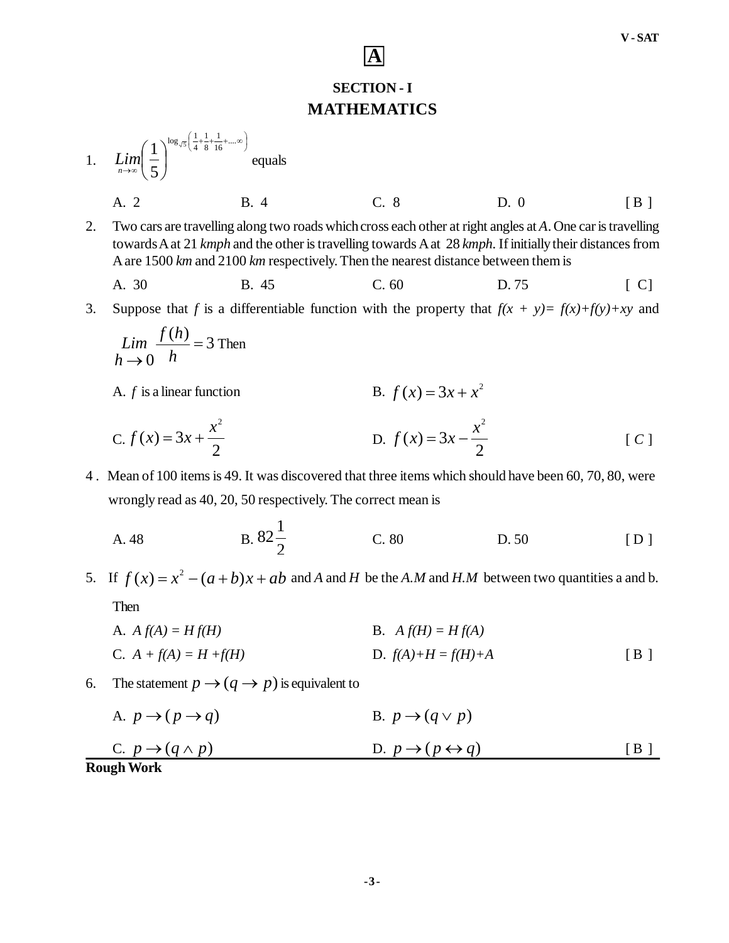## **SECTION - I MATHEMATICS**

**A**

- 1. J  $\left(\frac{1}{4} + \frac{1}{8} + \frac{1}{16} + \dots \infty\right)$  $\left(\frac{1}{1} + \frac{1}{2} + \frac{1}{2} + \dots \infty\right)$  $\lim_{n\to\infty}$   $\left(\frac{1}{5}\right)$  $\bigg)$  $\setminus$  $\mathsf{I}$  $\setminus$  $\left(1\right)^{\log_{\sqrt{5}}\left(\frac{1}{4}+\frac{1}{8}+\frac{1}{16}+\ldots\right)}$ 1 8 1 4  $\log_{\sqrt{5}}\left(\frac{1}{4}\right)$ 5 1  $\lim_{n\to\infty} \left( \frac{1}{5} \right)$  equals
	- A. 2 B. 4 C. 8 D. 0 [B]
- 2. Two cars are travelling along two roads which cross each other at right angles at *A*. One car is travelling towards A at 21 *kmph* and the other is travelling towards A at 28 *kmph.* If initially their distances from A are 1500 *km* and 2100 *km* respectively. Then the nearest distance between them is

A. 30 B. 45 C. 60 D. 75 [ C]

3. Suppose that *f* is a differentiable function with the property that  $f(x + y) = f(x)+f(y)+xy$  and

$$
\lim_{h \to 0} \frac{f(h)}{h} = 3
$$
 Then

A.  $f$  is a linear function

*f* (*x*) =  $3x + x^2$ 

C. 
$$
f(x) = 3x + \frac{x^2}{2}
$$
 D.  $f(x) = 3x - \frac{x^2}{2}$  [C]

4 . Mean of 100 items is 49. It was discovered that three items which should have been 60, 70, 80, were wrongly read as 40, 20, 50 respectively. The correct mean is

A. 48   
B. 
$$
82\frac{1}{2}
$$
 C. 80 D. 50 [D]

5. If  $f(x) = x^2 - (a+b)x + ab$  and *A* and *H* be the *A.M* and *H.M* between two quantities a and b.

Then

- A.  $A f(A) = H f(H)$  B.  $A f(H) = H f(A)$ C.  $A + f(A) = H + f(H)$  D.  $f(A) + H = f(H) + A$  [ B ]
- 6. The statement  $p \rightarrow (q \rightarrow p)$  is equivalent to
- C.  $p \rightarrow (q \land p)$ <br>**Rough Work** A.  $p \rightarrow (p \rightarrow q)$  B.  $p \rightarrow (q \vee p)$ D.  $p \rightarrow (p \leftrightarrow q)$  [B]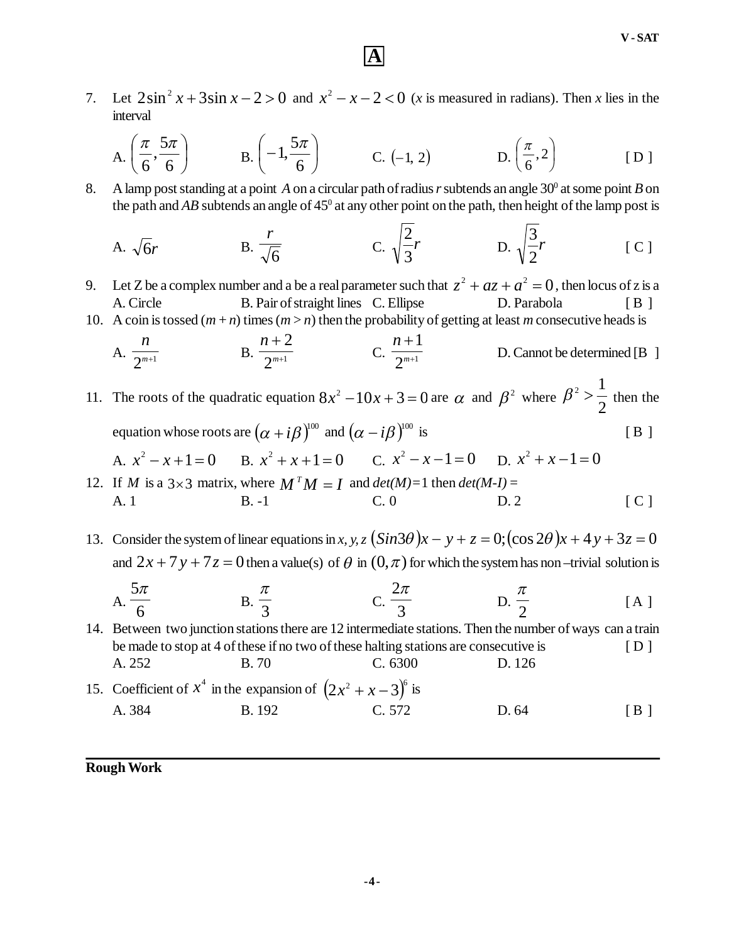7. Let  $2\sin^2 x + 3\sin x - 2 > 0$  and  $x^2 - x - 2 < 0$  (*x* is measured in radians). Then *x* lies in the interval

**A**

$$
A. \left(\frac{\pi}{6}, \frac{5\pi}{6}\right) \qquad B. \left(-1, \frac{5\pi}{6}\right) \qquad C. \left(-1, 2\right) \qquad D. \left(\frac{\pi}{6}, 2\right) \qquad [D]
$$

8. A lamp post standing at a point A on a circular path of radius r subtends an angle 30<sup>°</sup> at some point B on the path and  $AB$  subtends an angle of  $45^{\circ}$  at any other point on the path, then height of the lamp post is

A. 
$$
\sqrt{6}r
$$
 B.  $\frac{r}{\sqrt{6}}$  C.  $\sqrt{\frac{2}{3}}r$  D.  $\sqrt{\frac{3}{2}}r$  [C]

9. Let Z be a complex number and a be a real parameter such that  $z^2 + az + a^2 = 0$ , then locus of z is a A. Circle B. Pair of straight lines C. Ellipse D. Parabola [ B ]

10. A coin is tossed  $(m + n)$  times  $(m > n)$  then the probability of getting at least *m* consecutive heads is

A. 
$$
\frac{n}{2^{m+1}}
$$
 B.  $\frac{n+2}{2^{m+1}}$  C.  $\frac{n+1}{2^{m+1}}$  D. Cannot be determined [B ]

11. The roots of the quadratic equation  $8x^2 - 10x + 3 = 0$  are  $\alpha$  and  $\beta^2$  where  $\beta^2 > \frac{\pi}{2}$  $\frac{1}{2}$  $\beta^2 > \frac{1}{2}$  then the equation whose roots are  $(\alpha + i\beta)^{100}$  and  $(\alpha - i\beta)^{100}$  is [B]

A.  $x^2 - x + 1 = 0$  B.  $x^2 + x + 1 = 0$  C.  $x^2 - x - 1 = 0$  D.  $x^2 + x - 1 = 0$ 

12. If *M* is a  $3 \times 3$  matrix, where  $M^T M = I$  and  $det(M)=1$  then  $det(M-I) =$ A. 1 B. -1 C. 0 D. 2 [ C ]

13. Consider the system of linear equations in *x*, *y*, *z*  $(Sin3\theta)x - y + z = 0$ ;  $(\cos 2\theta)x + 4y + 3z = 0$ and  $2x + 7y + 7z = 0$  then a value(s) of  $\theta$  in  $(0, \pi)$  for which the system has non-trivial solution is

$$
A. \frac{5\pi}{6} \qquad B. \frac{\pi}{3} \qquad C. \frac{2\pi}{3} \qquad D. \frac{\pi}{2} \qquad [A]
$$

14. Between two junction stations there are 12 intermediate stations. Then the number of ways can a train be made to stop at 4 of these if no two of these halting stations are consecutive is [ D ] A. 252 B. 70 C. 6300 D. 126

15. Coefficient of  $x^4$  in the expansion of  $(2x^2 + x - 3)^6$  is A. 384 B. 192 C. 572 D. 64 [ B ]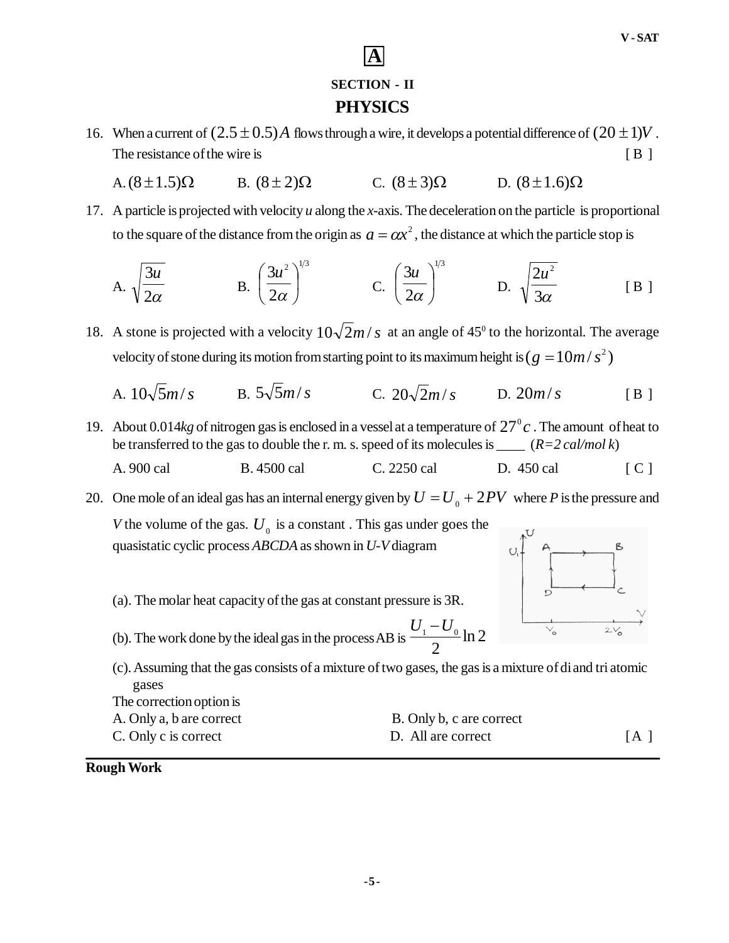## **SECTION - II PHYSICS**

**A**

- 16. When a current of  $(2.5 \pm 0.5)$  A flows through a wire, it develops a potential difference of  $(20 \pm 1)V$ . The resistance of the wire is [ B ]
	- A.  $(8 \pm 1.5)\Omega$  B.  $(8 \pm 2)\Omega$  C.  $(8 \pm 3)\Omega$  D.  $(8 \pm 1.6)\Omega$
- 17. A particle is projected with velocity *u* along the *x*-axis. The deceleration on the particle is proportional to the square of the distance from the origin as  $a = \alpha x^2$  , the distance at which the particle stop is

A. 
$$
\sqrt{\frac{3u}{2\alpha}}
$$
 \tB.  $\left(\frac{3u^2}{2\alpha}\right)^{1/3}$  \tC.  $\left(\frac{3u}{2\alpha}\right)^{1/3}$  \tD.  $\sqrt{\frac{2u^2}{3\alpha}}$  \t [B]

- 18. A stone is projected with a velocity  $10\sqrt{2m/s}$  at an angle of 45<sup>0</sup> to the horizontal. The average velocity of stone during its motion from starting point to its maximum height is (  $g = 10 m / s^2$  )
	- A.  $10\sqrt{5}m/s$  B.  $5\sqrt{5}m/s$  C.  $20\sqrt{2}m/s$  D.  $20m/s$  [B ]
- 19. About 0.014 $kg$  of nitrogen gas is enclosed in a vessel at a temperature of  $27^\circ c$ . The amount of heat to be transferred to the gas to double the r. m. s. speed of its molecules is \_\_\_\_ (*R=2 cal/mol k*)
	- A. 900 cal B. 4500 cal C. 2250 cal D. 450 cal [ C ]

20. One mole of an ideal gas has an internal energy given by  $U = U_0 + 2PV$  where *P* is the pressure and

*V* the volume of the gas.  $U_0$  is a constant. This gas under goes the quasistatic cyclic process *ABCDA* as shown in *U-V* diagram

- (a). The molar heat capacity of the gas at constant pressure is 3R.
- (b). The work done by the ideal gas in the process AB is  $\frac{6}{10}$   $\frac{1}{2}$  ln 2 2  $U_1 - U_0$

(c). Assuming that the gas consists of a mixture of two gases, the gas is a mixture of di and tri atomic gases The correction option is

| The concentration is     |                          |     |
|--------------------------|--------------------------|-----|
| A. Only a, b are correct | B. Only b, c are correct |     |
| C. Only c is correct     | D. All are correct       | [A] |



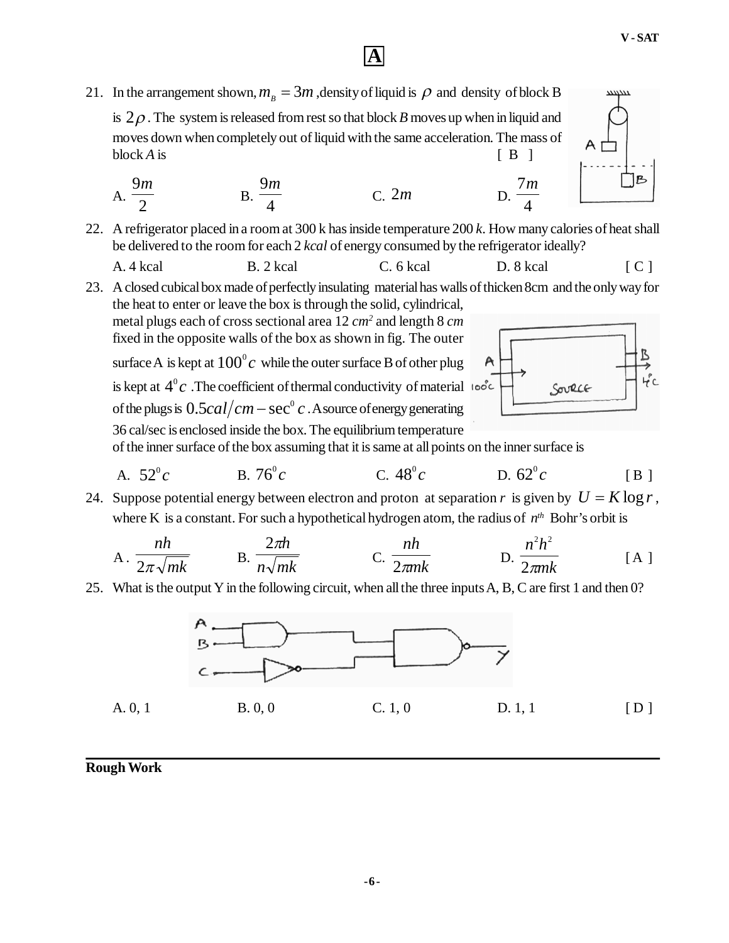$\mathbf{B}$ 

## **A**

21. In the arrangement shown,  $m_B = 3m$ , density of liquid is  $\rho$  and density of block B

is  $2\rho$ . The system is released from rest so that block *B* moves up when in liquid and moves down when completely out of liquid with the same acceleration. The mass of  $blockA$  is  $[B]$ 

A. 
$$
\frac{9m}{2}
$$
 \t\t B.  $\frac{9m}{4}$  \t C. 2m \t D.  $\frac{7m}{4}$ 

22. A refrigerator placed in a room at 300 k has inside temperature 200 *k*. How many calories of heat shall be delivered to the room for each 2 *kcal* of energy consumed by the refrigerator ideally?

A. 4 kcal B. 2 kcal C. 6 kcal D. 8 kcal [ C ]

23. A closed cubical box made of perfectly insulating material has walls of thicken 8cm and the only way for the heat to enter or leave the box is through the solid, cylindrical,

metal plugs each of cross sectional area 12 *cm<sup>2</sup>* and length 8 *cm* fixed in the opposite walls of the box as shown in fig. The outer surface A is kept at  $100^{\rm o}c\,$  while the outer surface B of other plug is kept at  $4^{\circ}c$  .The coefficient of thermal conductivity of material of the plugs is  $0.5 cal/cm - sec^{\circ}c$  . A source of energy generating 36 cal/sec is enclosed inside the box. The equilibrium temperature



7*m*

of the inner surface of the box assuming that it is same at all points on the inner surface is

A. 
$$
52^{\circ}c
$$
 B.  $76^{\circ}c$  C.  $48^{\circ}c$  D.  $62^{\circ}c$  [B]

24. Suppose potential energy between electron and proton at separation r is given by  $U = K \log r$ , where K is a constant. For such a hypothetical hydrogen atom, the radius of  $n^{th}$  Bohr's orbit is

A. 
$$
\frac{nh}{2\pi\sqrt{mk}}
$$
 B.  $\frac{2\pi h}{n\sqrt{mk}}$  C.  $\frac{nh}{2\pi mk}$  D.  $\frac{n^2h^2}{2\pi mk}$  [A]

25. What is the output Y in the following circuit, when all the three inputs A, B, C are first 1 and then 0?

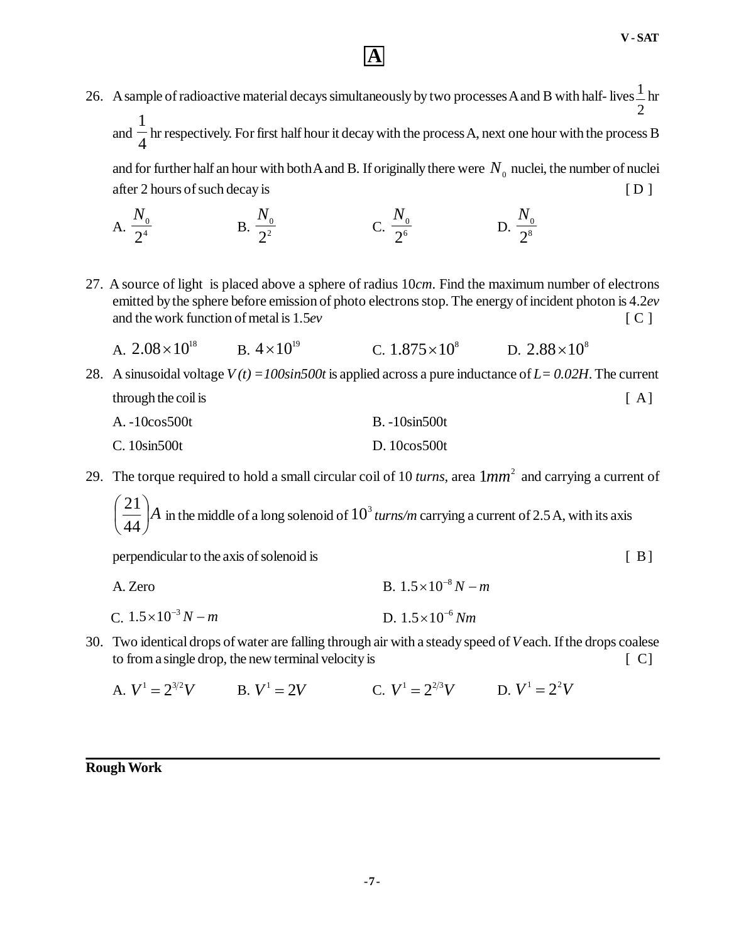26. A sample of radioactive material decays simultaneously by two processes A and B with half- lives 2  $\frac{1}{\Box}$ hr and  $\frac{1}{4}$ 1 hr respectively. For first half hour it decay with the process A, next one hour with the process B and for further half an hour with both A and B. If originally there were  $N_{\rm o}$  nuclei, the number of nuclei after 2 hours of such decay is [ D ]

A. 
$$
\frac{N_0}{2^4}
$$
 \t\t B.  $\frac{N_0}{2^2}$  \t\t C.  $\frac{N_0}{2^6}$  \t\t D.  $\frac{N_0}{2^8}$ 

27. A source of light is placed above a sphere of radius 10*cm*. Find the maximum number of electrons emitted by the sphere before emission of photo electrons stop. The energy of incident photon is 4.2*ev* and the work function of metal is 1.5*ev* [ C ]

A. 
$$
2.08 \times 10^{18}
$$
 B.  $4 \times 10^{19}$  C.  $1.875 \times 10^{8}$  D.  $2.88 \times 10^{8}$ 

28. A sinusoidal voltage *V (t) =100sin500t* is applied across a pure inductance of *L= 0.02H*. The current through the coil is [A]

| A. -10cos500t | $B.-10\sin 500t$ |
|---------------|------------------|
| C. 10sin500t  | D.10cos500t      |

29. The torque required to hold a small circular coil of 10 *turns*, area  $1mm^2$  and carrying a current of

*A*  $\bigg)$  $\setminus$  $\mathsf{I}$  $\setminus$ ſ 44  $\left\langle \frac{21}{44} \right\rangle$  in the middle of a long solenoid of  $10^3$  turns/m carrying a current of 2.5 A, with its axis

perpendicular to the axis of solenoid is [ B]

- A. Zero B.  $1.5 \times 10^{-8} N m$
- C.  $1.5 \times 10^{-3} N m$  $1.5 \times 10^{-3} N - m$  D.  $1.5 \times 10^{-6} Nm$
- 30. Two identical drops of water are falling through air with a steady speed of *V* each. If the drops coalese to from a single drop, the new terminal velocity is  $[ C ]$ 
	- A.  $V^1 = 2^{3/2}V$  B.  $V^1 = 2V$  C.  $V^1 = 2^{2/3}V$  D.  $V^1 = 2^2V$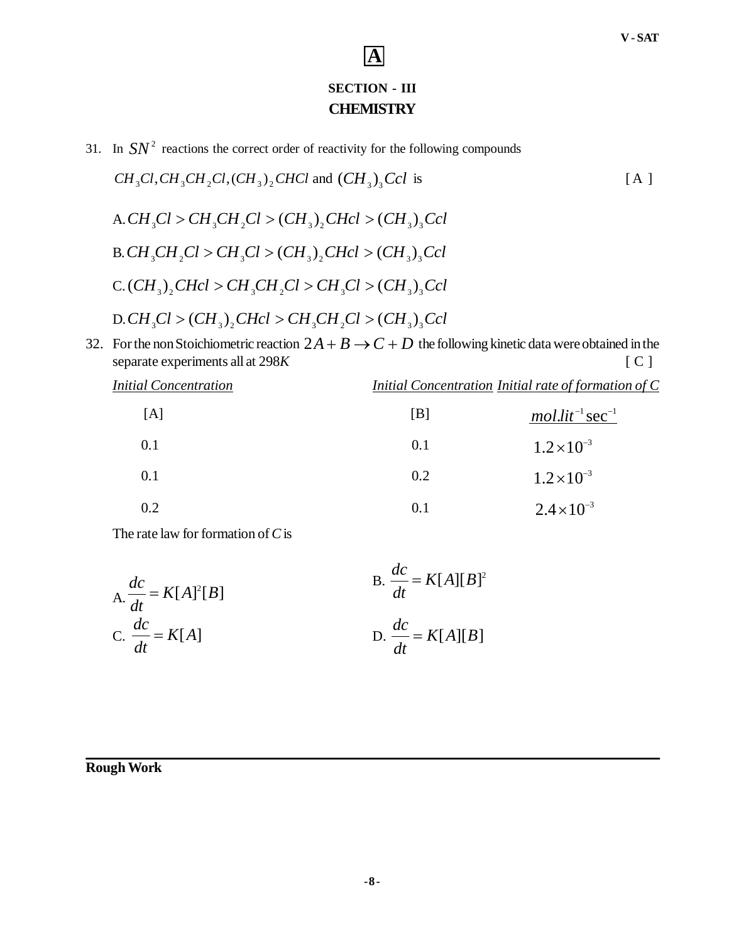### **SECTION - III CHEMISTRY**

**A**

31. In  $SN^2$  reactions the correct order of reactivity for the following compounds

$$
CH_3Cl, CH_3CH_2Cl, (CH_3)_2CHCl
$$
 and  $(CH_3)_3Ccl$  is  
\nA.  $CH_3Cl > CH_3CH_2Cl > (CH_3)_2CHcl > (CH_3)_3Ccl$   
\nB.  $CH_3CH_2Cl > CH_3Cl > (CH_3)_2CHcl > (CH_3)_3Ccl$   
\nC.  $(CH_3)_2CHcl > CH_3CH_2Cl > CH_3Cl > CH_3Cl > (CH_3)_3Ccl$   
\nD.  $CH_3Cl > (CH_3)_2CHcl > CH_3CH_2Cl > (CH_3)_3Ccl$ 

32. For the non Stoichiometric reaction  $2A + B \rightarrow C + D$  the following kinetic data were obtained in the separate experiments all at 298K [C] separate experiments all at 298*K* 

*Initial Concentration Initial Concentration Initial rate of formation of C*

| [A] | [B] | $mol.lit^{-1} sec^{-1}$ |
|-----|-----|-------------------------|
| 0.1 | 0.1 | $1.2 \times 10^{-3}$    |
| 0.1 | 0.2 | $1.2 \times 10^{-3}$    |
| 0.2 | 0.1 | $2.4 \times 10^{-3}$    |

The rate law for formation of *C* is

$$
\text{A.} \frac{dc}{dt} = K[A]^2[B] \qquad \qquad \text{B.} \frac{dc}{dt} = K[A][B]^2
$$
\n
$$
\text{C.} \frac{dc}{dt} = K[A] \qquad \qquad \text{D.} \frac{dc}{dt} = K[A][B]
$$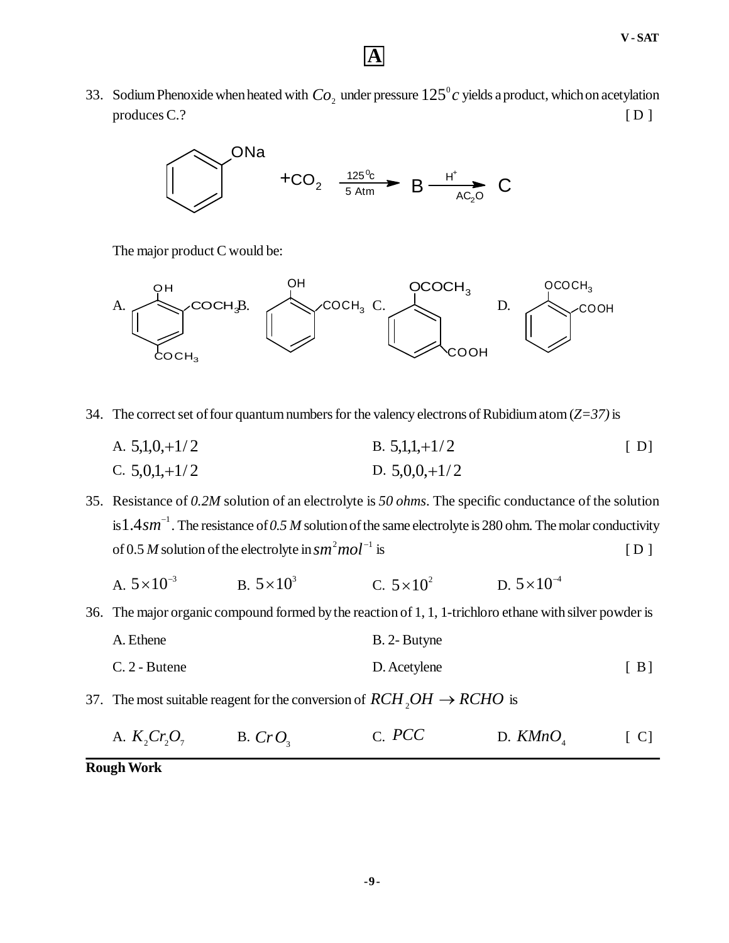33. Sodium Phenoxide when heated with  $Co_2$  under pressure  $125^\circ c$  yields a product, which on acetylation  $p$ roduces C.?  $[D]$ 



The major product C would be:



34. The correct set of four quantum numbers for the valency electrons of Rubidium atom (*Z=37)* is

A.  $5,1,0,+1/2$  B.  $5,1,1,+1/2$  [ D] C.  $5,0,1,+1/2$  D.  $5,0,0,+1/2$ 

35. Resistance of *0.2M* solution of an electrolyte is *50 ohms*. The specific conductance of the solution is  $1.4$   $sm^{-1}$  . The resistance of 0.5 M solution of the same electrolyte is 280 ohm. The molar conductivity of 0.5 *M* solution of the electrolyte in  $sm^2mol^{-1}$  is  $[D]$ 

A.  $5 \times 10^{-3}$ B.  $5 \times 10^3$  $5 \times 10^3$  C.  $5 \times 10^2$  D.  $5 \times 10^{-4}$  $5 \times 10^{-7}$ 

36. The major organic compound formed by the reaction of 1, 1, 1-trichloro ethane with silver powder is

- A. Ethene B. 2- Butyne C. 2 - Butene [ B]
- 37. The most suitable reagent for the conversion of  $RCH_2OH \rightarrow RCHO$  is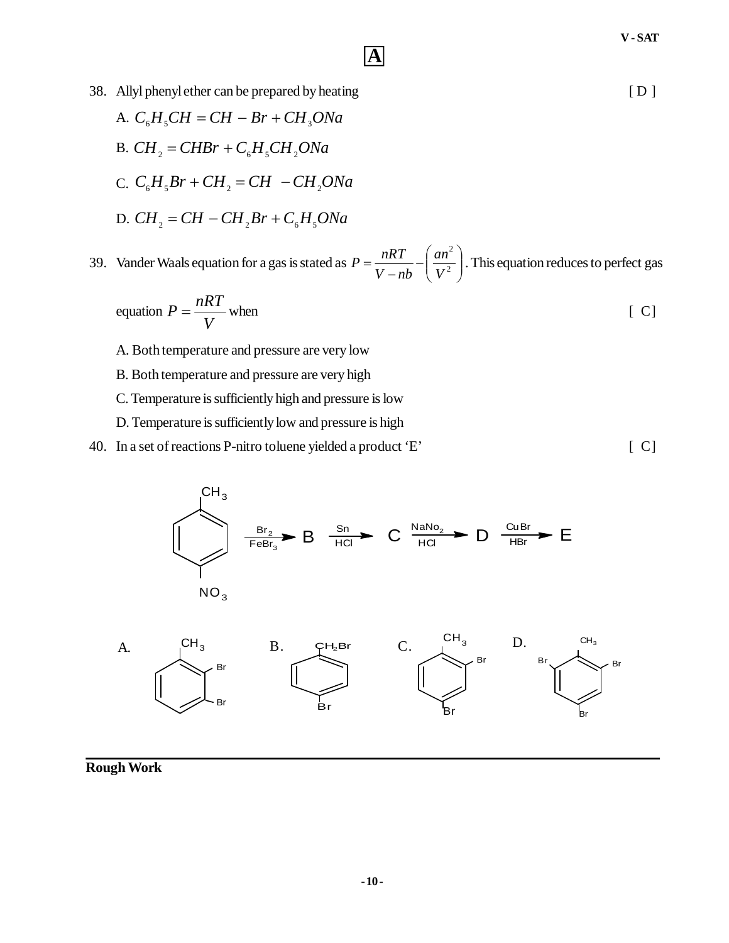- 38. Allyl phenyl ether can be prepared by heating [ D ]
	- A.  $C_{6}H_{5}CH = CH Br + CH_{3}ONa$
	- B.  $CH_2 = CHBr + C_6H_5CH_2ONa$
	- $C_c$ ,  $C_6H_5Br + CH_2 = CH CH_2ONa$
	- D.  $CH_2 = CH CH_2Br + C_6H_5ONa$
- 39. Vander Waals equation for a gas is stated as  $P = \frac{nRT}{V-nb} \left(\frac{an^2}{V^2}\right)^2$ J  $\mathcal{L}$  $\overline{\phantom{a}}$  $\setminus$ ſ - $=\frac{n\pi}{V-nb}-\frac{an}{V^2}$ 2 *V an V nb*  $P = \frac{nRT}{r} - \left(\frac{an^2}{r^2}\right)$ . This equation reduces to perfect gas

equation 
$$
P = \frac{nRT}{V}
$$
 when [C]

- A. Both temperature and pressure are very low
- B. Both temperature and pressure are very high
- C. Temperature is sufficiently high and pressure is low
- D. Temperature is sufficiently low and pressure is high
- 40. In a set of reactions P-nitro toluene yielded a product 'E' [ C]

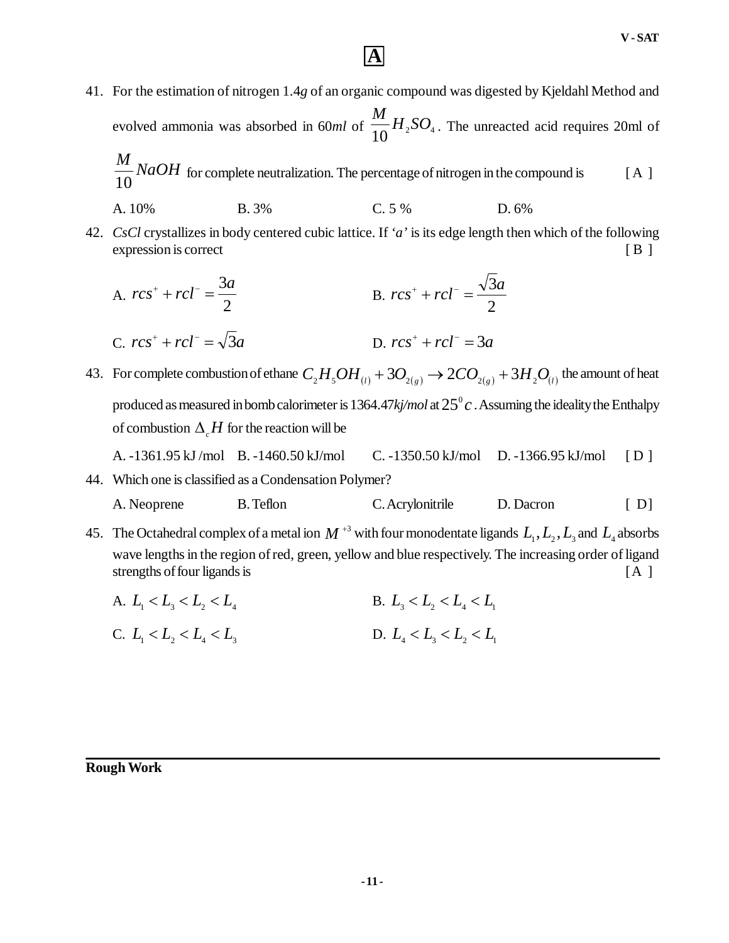41. For the estimation of nitrogen 1.4*g* of an organic compound was digested by Kjeldahl Method and evolved ammonia was absorbed in 60ml of  $\frac{1}{10}H_{2}SO_{4}$  $\frac{M}{10}H_{2}SO_{4}$ . The unreacted acid requires 20ml of

$$
\frac{M}{10} NaOH
$$
 for complete neutralization. The percentage of nitrogen in the compound is [A]

- A. 10% B. 3% C. 5 % D. 6%
- 42. *CsCl* crystallizes in body centered cubic lattice. If *'a'* is its edge length then which of the following expression is correct [ B ]
	- A. 2 3*a*  $rcs^{+} + rcl^{-} =$ B. 2 3*a*  $rcs^+$  +  $rcl^-$  =  $C.$   $rcs^{+} + rcl^{-} = \sqrt{3}a$ D.  $rcs^{+} + rcl^{-} = 3a$
- 43. For complete combustion of ethane  $C_2H_5OH_{(l)} + 3O_{2(g)} \rightarrow 2CO_{2(g)} + 3H_2O_{(l)}$  the amount of heat produced as measured in bomb calorimeter is  $1364.47$ *kj/mol* at  $25^{\rm o}c$  . Assuming the ideality the Enthalpy of combustion  $\Delta H$  for the reaction will be

A. -1361.95 kJ /mol B. -1460.50 kJ/mol C. -1350.50 kJ/mol D. -1366.95 kJ/mol [ D ]

# 44. Which one is classified as a Condensation Polymer?

```
A. Neoprene B. Teflon C. Acrylonitrile D. Dacron [ D]
```
45. The Octahedral complex of a metal ion  $M^{+3}$  with four monodentate ligands  $L_1, L_2, L_3$  and  $L_4$  absorbs wave lengths in the region of red, green, yellow and blue respectively. The increasing order of ligand strengths of four ligands is [A ]

A.  $L_1 < L_2 < L_3 < L_4$  B.  $L_3 < L_5 < L_4 < L_5$ C.  $L_1 < L_2 < L_3 < L_4 < L_5$ <br>D.  $L_4 < L_5 < L_6 < L_7$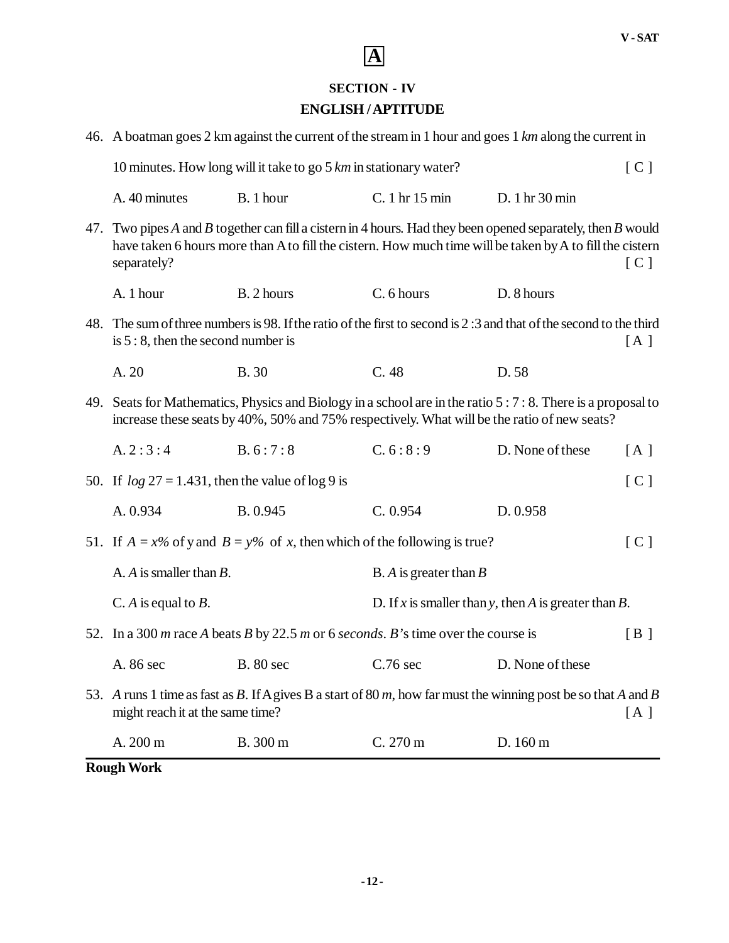### **SECTION - IV**

### **ENGLISH / APTITUDE**

| <b>Rough Work</b>                                                                                                                                                                                                                      |                                                                                                                |                                                      |                  |     |
|----------------------------------------------------------------------------------------------------------------------------------------------------------------------------------------------------------------------------------------|----------------------------------------------------------------------------------------------------------------|------------------------------------------------------|------------------|-----|
| A. 200 m                                                                                                                                                                                                                               | B. 300 m                                                                                                       | C. 270 m                                             | D. 160 m         |     |
| might reach it at the same time?                                                                                                                                                                                                       | 53. A runs 1 time as fast as B. If A gives B a start of 80 m, how far must the winning post be so that A and B |                                                      |                  | [A] |
| A. 86 sec                                                                                                                                                                                                                              | <b>B.</b> 80 sec                                                                                               | $C.76$ sec                                           | D. None of these |     |
|                                                                                                                                                                                                                                        | 52. In a 300 m race A beats B by 22.5 m or 6 seconds. B's time over the course is                              |                                                      |                  | [B] |
| C. A is equal to $B$ .                                                                                                                                                                                                                 |                                                                                                                | D. If x is smaller than y, then A is greater than B. |                  |     |
| A. $A$ is smaller than $B$ .                                                                                                                                                                                                           |                                                                                                                | B. $A$ is greater than $B$                           |                  |     |
| 51. If $A = x\%$ of y and $B = y\%$ of x, then which of the following is true?<br>[C]                                                                                                                                                  |                                                                                                                |                                                      |                  |     |
| A. 0.934                                                                                                                                                                                                                               | B. 0.945                                                                                                       | C. 0.954                                             | D. 0.958         |     |
| 50. If $\log 27 = 1.431$ , then the value of $\log 9$ is                                                                                                                                                                               |                                                                                                                |                                                      |                  | [C] |
| A.2:3:4                                                                                                                                                                                                                                | B. 6:7:8                                                                                                       | C.6:8:9                                              | D. None of these | [A] |
| 49. Seats for Mathematics, Physics and Biology in a school are in the ratio 5 : 7 : 8. There is a proposal to<br>increase these seats by 40%, 50% and 75% respectively. What will be the ratio of new seats?                           |                                                                                                                |                                                      |                  |     |
| A. 20                                                                                                                                                                                                                                  | <b>B.30</b>                                                                                                    | C.48                                                 | D. 58            |     |
| 48. The sum of three numbers is 98. If the ratio of the first to second is 2:3 and that of the second to the third<br>is $5:8$ , then the second number is                                                                             |                                                                                                                |                                                      |                  | [A] |
| A. 1 hour                                                                                                                                                                                                                              | B. 2 hours                                                                                                     | C. 6 hours                                           | D. 8 hours       |     |
| 47. Two pipes A and B together can fill a cistern in 4 hours. Had they been opened separately, then B would<br>have taken 6 hours more than A to fill the cistern. How much time will be taken by A to fill the cistern<br>separately? |                                                                                                                |                                                      |                  | [C] |
| A. 40 minutes                                                                                                                                                                                                                          | B. 1 hour                                                                                                      | C. 1 hr 15 min                                       | D. 1 hr 30 min   |     |
| 10 minutes. How long will it take to go $5 \, km$ in stationary water?                                                                                                                                                                 |                                                                                                                |                                                      |                  |     |
| 46. A boatman goes 2 km against the current of the stream in 1 hour and goes 1 km along the current in                                                                                                                                 |                                                                                                                |                                                      |                  |     |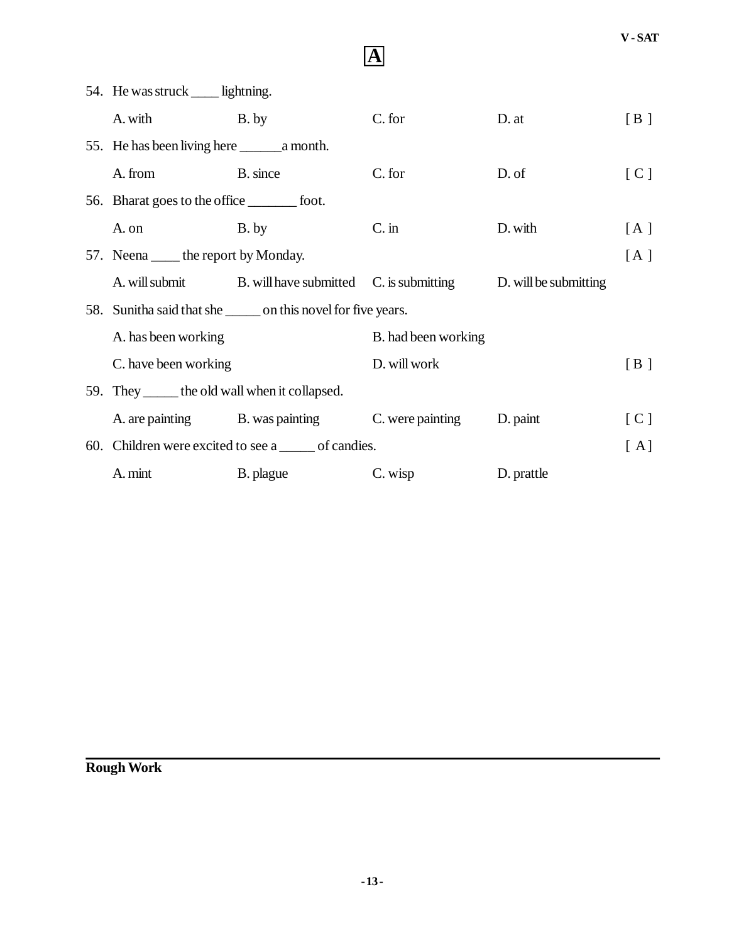|                                                              | 54. He was struck ____ lightning.                     |                                                           |                     |                       |     |
|--------------------------------------------------------------|-------------------------------------------------------|-----------------------------------------------------------|---------------------|-----------------------|-----|
|                                                              | A. with B. by                                         |                                                           | C. for              | D. at                 | [B] |
|                                                              |                                                       |                                                           |                     |                       |     |
|                                                              | A. from                                               | B. since                                                  | C. for              | D. of                 | [C] |
|                                                              | 56. Bharat goes to the office _________ foot.         |                                                           |                     |                       |     |
|                                                              | A. on                                                 | B. by                                                     | $C \cdot$ in        | D. with               | [A] |
|                                                              | 57. Neena _____ the report by Monday.                 |                                                           |                     |                       | [A] |
|                                                              |                                                       | A. will submit B. will have submitted C. is submitting    |                     | D. will be submitting |     |
| 58. Sunitha said that she seem on this novel for five years. |                                                       |                                                           |                     |                       |     |
|                                                              | A. has been working<br>C. have been working           |                                                           | B. had been working |                       |     |
|                                                              |                                                       |                                                           | D. will work        |                       | [B] |
|                                                              | 59. They _______ the old wall when it collapsed.      |                                                           |                     |                       |     |
|                                                              |                                                       | A. are painting B. was painting C. were painting D. paint |                     |                       | [C] |
|                                                              | 60. Children were excited to see a ______ of candies. |                                                           |                     | [A]                   |     |
|                                                              | A. mint                                               | B. plague                                                 | C. wisp             | D. prattle            |     |